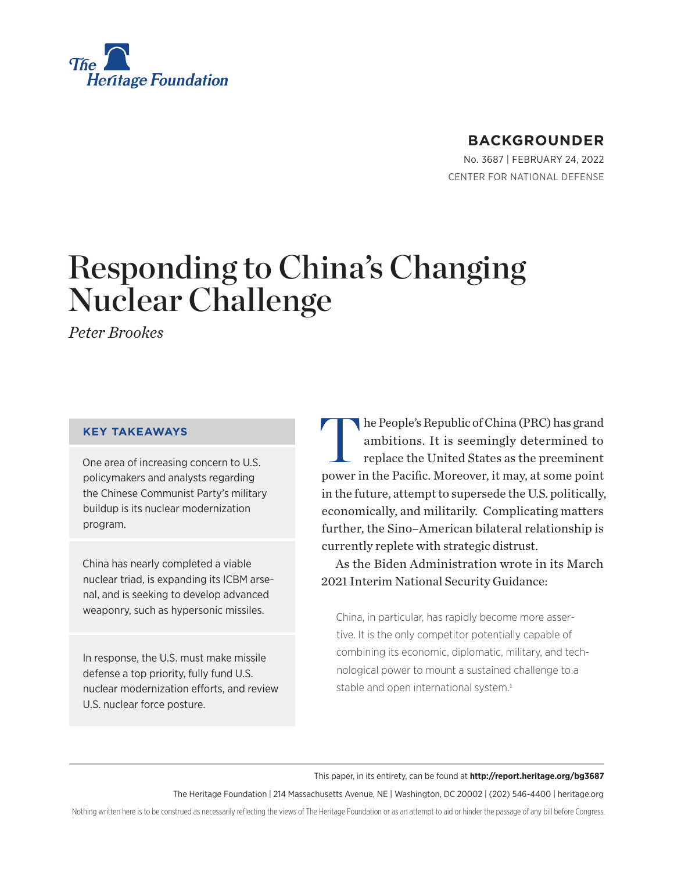<span id="page-0-0"></span>

# **BACKGROUNDER**

No. 3687 | February 24, 2022 CENTER FOR NATIONAL DEFENSE

# Responding to China's Changing Nuclear Challenge

*Peter Brookes*

#### **KEY TAKEAWAYS**

One area of increasing concern to U.S. policymakers and analysts regarding the Chinese Communist Party's military buildup is its nuclear modernization program.

China has nearly completed a viable nuclear triad, is expanding its ICBM arsenal, and is seeking to develop advanced weaponry, such as hypersonic missiles.

In response, the U.S. must make missile defense a top priority, fully fund U.S. nuclear modernization efforts, and review U.S. nuclear force posture.

he People's Republic of China (PRC) has grand ambitions. It is seemingly determined to replace the United States as the preeminent power in the Pacific. Moreover, it may, at some point in the future, attempt to supersede the U.S. politically, economically, and militarily. Complicating matters further, the Sino–American bilateral relationship is currently replete with strategic distrust.

As the Biden Administration wrote in its March 2021 Interim National Security Guidance:

China, in particular, has rapidly become more assertive. It is the only competitor potentially capable of combining its economic, diplomatic, military, and technological power to mount a sustained challenge to a stable and open international system.<sup>[1](#page-13-0)</sup>

This paper, in its entirety, can be found at **http://report.heritage.org/bg3687**

The Heritage Foundation | 214 Massachusetts Avenue, NE | Washington, DC 20002 | (202) 546-4400 | [heritage.org](https://www.hhs.gov/about/news/2018/09/24/statement-from-the-department-of-health-and-human-services.html)

Nothing written here is to be construed as necessarily reflecting the views of The Heritage Foundation or as an attempt to aid or hinder the passage of any bill before Congress.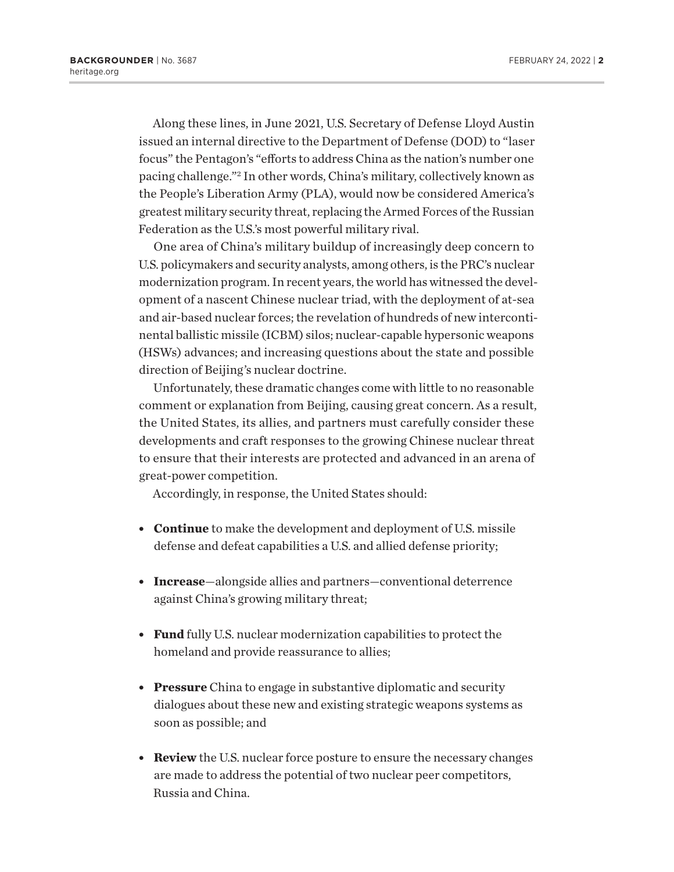<span id="page-1-0"></span>Along these lines, in June 2021, U.S. Secretary of Defense Lloyd Austin issued an internal directive to the Department of Defense (DOD) to "laser focus" the Pentagon's "efforts to address China as the nation's number one pacing challenge.["2](#page-13-0) In other words, China's military, collectively known as the People's Liberation Army (PLA), would now be considered America's greatest military security threat, replacing the Armed Forces of the Russian Federation as the U.S.'s most powerful military rival.

One area of China's military buildup of increasingly deep concern to U.S. policymakers and security analysts, among others, is the PRC's nuclear modernization program. In recent years, the world has witnessed the development of a nascent Chinese nuclear triad, with the deployment of at-sea and air-based nuclear forces; the revelation of hundreds of new intercontinental ballistic missile (ICBM) silos; nuclear-capable hypersonic weapons (HSWs) advances; and increasing questions about the state and possible direction of Beijing's nuclear doctrine.

Unfortunately, these dramatic changes come with little to no reasonable comment or explanation from Beijing, causing great concern. As a result, the United States, its allies, and partners must carefully consider these developments and craft responses to the growing Chinese nuclear threat to ensure that their interests are protected and advanced in an arena of great-power competition.

Accordingly, in response, the United States should:

- **Continue** to make the development and deployment of U.S. missile defense and defeat capabilities a U.S. and allied defense priority;
- **· Increase**—alongside allies and partners—conventional deterrence against China's growing military threat;
- **Fund** fully U.S. nuclear modernization capabilities to protect the homeland and provide reassurance to allies;
- **Pressure** China to engage in substantive diplomatic and security dialogues about these new and existing strategic weapons systems as soon as possible; and
- **Review** the U.S. nuclear force posture to ensure the necessary changes are made to address the potential of two nuclear peer competitors, Russia and China.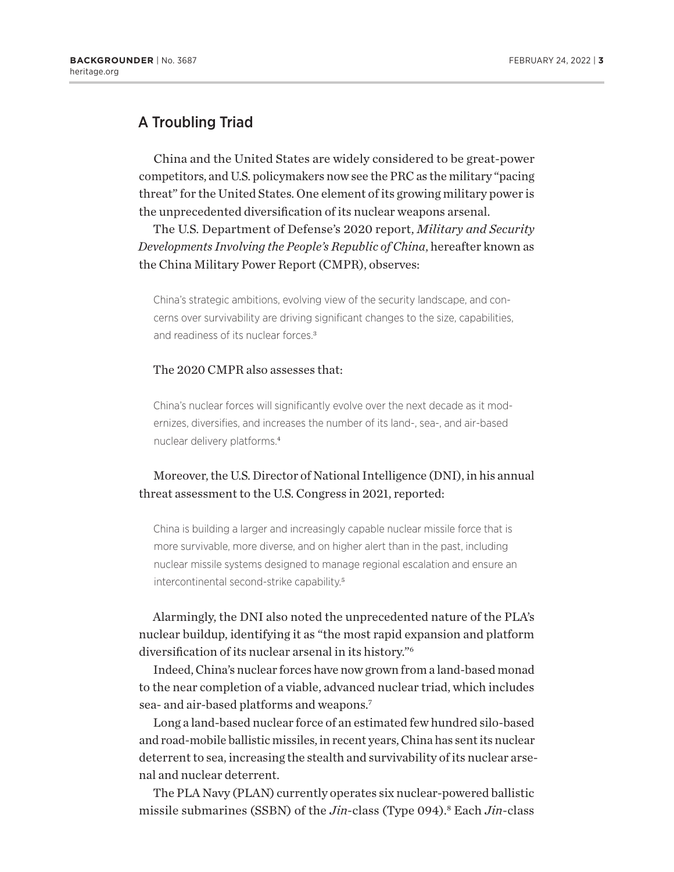# <span id="page-2-0"></span>A Troubling Triad

China and the United States are widely considered to be great-power competitors, and U.S. policymakers now see the PRC as the military "pacing threat" for the United States. One element of its growing military power is the unprecedented diversification of its nuclear weapons arsenal.

The U.S. Department of Defense's 2020 report, *Military and Security Developments Involving the People's Republic of China*, hereafter known as the China Military Power Report (CMPR), observes:

China's strategic ambitions, evolving view of the security landscape, and concerns over survivability are driving significant changes to the size, capabilities, and readiness of its nuclear forces.[3](#page-13-0)

#### The 2020 CMPR also assesses that:

China's nuclear forces will significantly evolve over the next decade as it modernizes, diversifies, and increases the number of its land-, sea-, and air-based nuclear delivery platforms.[4](#page-13-0)

## Moreover, the U.S. Director of National Intelligence (DNI), in his annual threat assessment to the U.S. Congress in 2021, reported:

China is building a larger and increasingly capable nuclear missile force that is more survivable, more diverse, and on higher alert than in the past, including nuclear missile systems designed to manage regional escalation and ensure an intercontinental second-strike capability.[5](#page-13-0)

Alarmingly, the DNI also noted the unprecedented nature of the PLA's nuclear buildup, identifying it as "the most rapid expansion and platform diversification of its nuclear arsenal in its history.["6](#page-13-0)

Indeed, China's nuclear forces have now grown from a land-based monad to the near completion of a viable, advanced nuclear triad, which includes sea- and air-based platforms and weapons.[7](#page-13-0)

Long a land-based nuclear force of an estimated few hundred silo-based and road-mobile ballistic missiles, in recent years, China has sent its nuclear deterrent to sea, increasing the stealth and survivability of its nuclear arsenal and nuclear deterrent.

The PLA Navy (PLAN) currently operates six nuclear-powered ballistic missile submarines (SSBN) of the *Jin*-class (Type 094)[.8](#page-13-0) Each *Jin*-class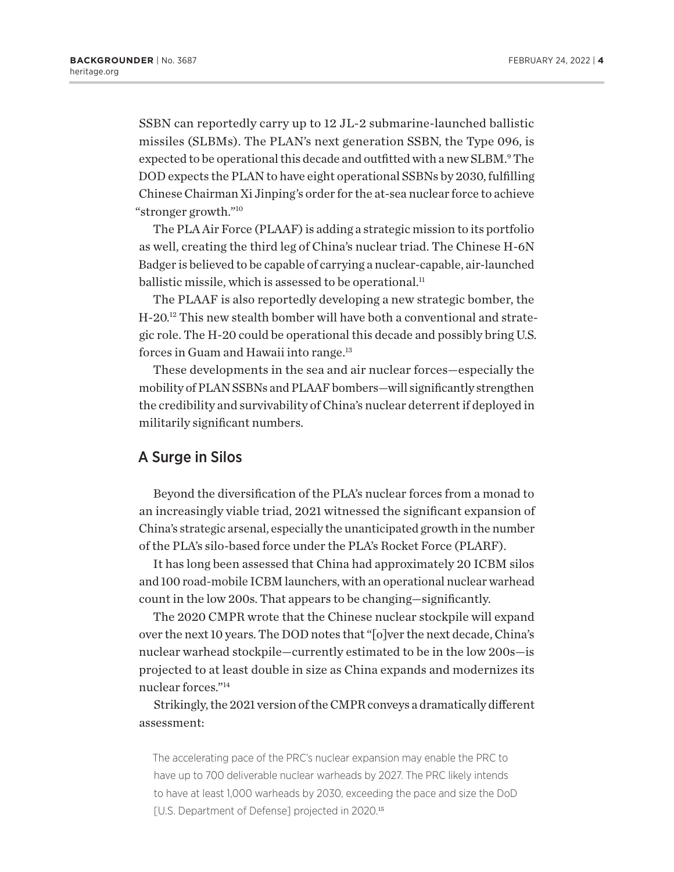<span id="page-3-0"></span>SSBN can reportedly carry up to 12 JL-2 submarine-launched ballistic missiles (SLBMs). The PLAN's next generation SSBN, the Type 096, is expected to be operational this decade and outfitted with a new SLBM.<sup>[9](#page-13-0)</sup> The DOD expects the PLAN to have eight operational SSBNs by 2030, fulfilling Chinese Chairman Xi Jinping's order for the at-sea nuclear force to achieve "stronger growth.["10](#page-13-0)

The PLA Air Force (PLAAF) is adding a strategic mission to its portfolio as well, creating the third leg of China's nuclear triad. The Chinese H-6N Badger is believed to be capable of carrying a nuclear-capable, air-launched ballistic missile, which is assessed to be operational.<sup>[11](#page-13-0)</sup>

The PLAAF is also reportedly developing a new strategic bomber, the H-20[.12](#page-13-0) This new stealth bomber will have both a conventional and strategic role. The H-20 could be operational this decade and possibly bring U.S. forces in Guam and Hawaii into range.[13](#page-13-0)

These developments in the sea and air nuclear forces—especially the mobility of PLAN SSBNs and PLAAF bombers—will significantly strengthen the credibility and survivability of China's nuclear deterrent if deployed in militarily significant numbers.

## A Surge in Silos

Beyond the diversification of the PLA's nuclear forces from a monad to an increasingly viable triad, 2021 witnessed the significant expansion of China's strategic arsenal, especially the unanticipated growth in the number of the PLA's silo-based force under the PLA's Rocket Force (PLARF).

It has long been assessed that China had approximately 20 ICBM silos and 100 road-mobile ICBM launchers, with an operational nuclear warhead count in the low 200s. That appears to be changing—significantly.

The 2020 CMPR wrote that the Chinese nuclear stockpile will expand over the next 10 years. The DOD notes that "[o]ver the next decade, China's nuclear warhead stockpile—currently estimated to be in the low 200s—is projected to at least double in size as China expands and modernizes its nuclear forces."[14](#page-13-0)

Strikingly, the 2021 version of the CMPR conveys a dramatically different assessment:

The accelerating pace of the PRC's nuclear expansion may enable the PRC to have up to 700 deliverable nuclear warheads by 2027. The PRC likely intends to have at least 1,000 warheads by 2030, exceeding the pace and size the DoD [U.S. Department of Defense] projected in 2020.<sup>[15](#page-13-0)</sup>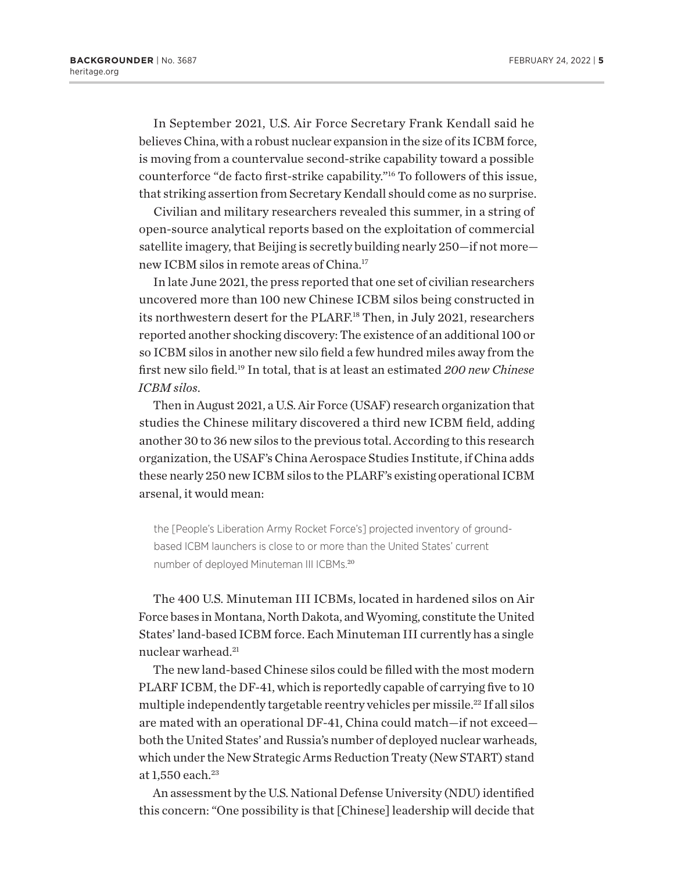<span id="page-4-0"></span>In September 2021, U.S. Air Force Secretary Frank Kendall said he believes China, with a robust nuclear expansion in the size of its ICBM force, is moving from a countervalue second-strike capability toward a possible counterforce "de facto first-strike capability."[16](#page-13-0) To followers of this issue, that striking assertion from Secretary Kendall should come as no surprise.

Civilian and military researchers revealed this summer, in a string of open-source analytical reports based on the exploitation of commercial satellite imagery, that Beijing is secretly building nearly 250—if not more new ICBM silos in remote areas of China.[17](#page-13-0)

In late June 2021, the press reported that one set of civilian researchers uncovered more than 100 new Chinese ICBM silos being constructed in its northwestern desert for the PLARF.<sup>18</sup> Then, in July 2021, researchers reported another shocking discovery: The existence of an additional 100 or so ICBM silos in another new silo field a few hundred miles away from the first new silo field.[19](#page-13-0) In total, that is at least an estimated *200 new Chinese ICBM silos*.

Then in August 2021, a U.S. Air Force (USAF) research organization that studies the Chinese military discovered a third new ICBM field, adding another 30 to 36 new silos to the previous total. According to this research organization, the USAF's China Aerospace Studies Institute, if China adds these nearly 250 new ICBM silos to the PLARF's existing operational ICBM arsenal, it would mean:

the [People's Liberation Army Rocket Force's] projected inventory of groundbased ICBM launchers is close to or more than the United States' current number of deployed Minuteman III ICBMs.[20](#page-13-0)

The 400 U.S. Minuteman III ICBMs, located in hardened silos on Air Force bases in Montana, North Dakota, and Wyoming, constitute the United States' land-based ICBM force. Each Minuteman III currently has a single nuclear warhead.[21](#page-13-0)

The new land-based Chinese silos could be filled with the most modern PLARF ICBM, the DF-41, which is reportedly capable of carrying five to 10 multiple independently targetable reentry vehicles per missile.<sup>22</sup> If all silos are mated with an operational DF-41, China could match—if not exceed both the United States' and Russia's number of deployed nuclear warheads, which under the New Strategic Arms Reduction Treaty (New START) stand at 1,550 each.<sup>[23](#page-13-0)</sup>

An assessment by the U.S. National Defense University (NDU) identified this concern: "One possibility is that [Chinese] leadership will decide that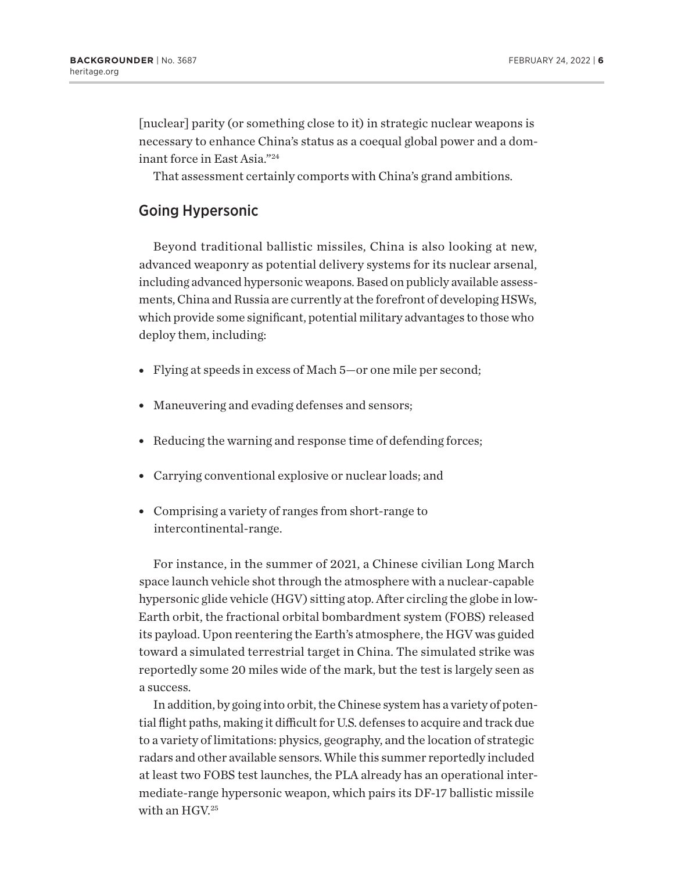<span id="page-5-0"></span>[nuclear] parity (or something close to it) in strategic nuclear weapons is necessary to enhance China's status as a coequal global power and a dominant force in East Asia."[24](#page-13-0)

That assessment certainly comports with China's grand ambitions.

## Going Hypersonic

Beyond traditional ballistic missiles, China is also looking at new, advanced weaponry as potential delivery systems for its nuclear arsenal, including advanced hypersonic weapons. Based on publicly available assessments, China and Russia are currently at the forefront of developing HSWs, which provide some significant, potential military advantages to those who deploy them, including:

- Flying at speeds in excess of Mach 5—or one mile per second;
- Maneuvering and evading defenses and sensors;
- Reducing the warning and response time of defending forces;
- Carrying conventional explosive or nuclear loads; and
- Comprising a variety of ranges from short-range to intercontinental-range.

For instance, in the summer of 2021, a Chinese civilian Long March space launch vehicle shot through the atmosphere with a nuclear-capable hypersonic glide vehicle (HGV) sitting atop. After circling the globe in low-Earth orbit, the fractional orbital bombardment system (FOBS) released its payload. Upon reentering the Earth's atmosphere, the HGV was guided toward a simulated terrestrial target in China. The simulated strike was reportedly some 20 miles wide of the mark, but the test is largely seen as a success.

In addition, by going into orbit, the Chinese system has a variety of potential flight paths, making it difficult for U.S. defenses to acquire and track due to a variety of limitations: physics, geography, and the location of strategic radars and other available sensors. While this summer reportedly included at least two FOBS test launches, the PLA already has an operational intermediate-range hypersonic weapon, which pairs its DF-17 ballistic missile with an HGV[.25](#page-13-0)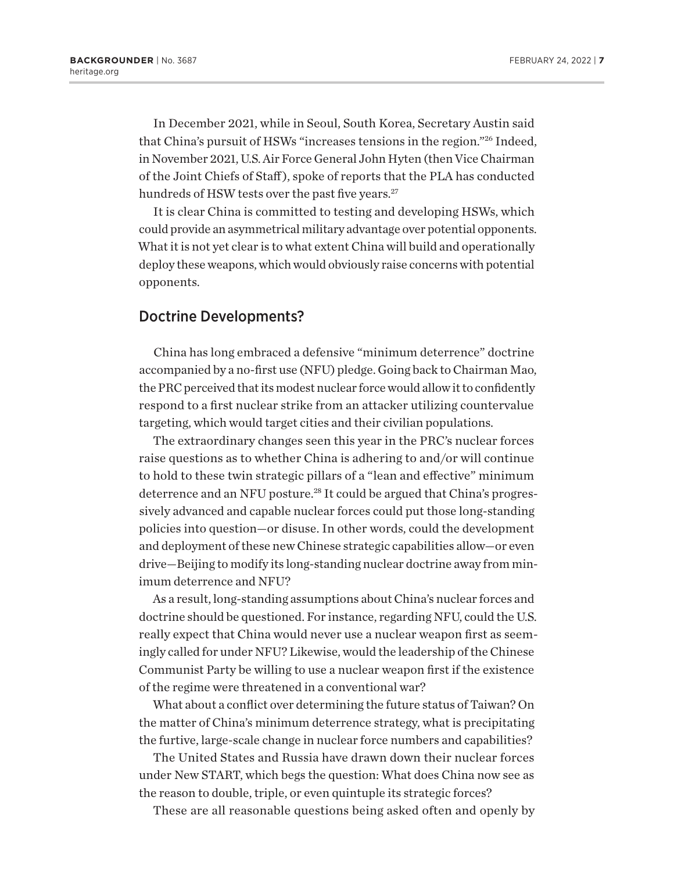<span id="page-6-0"></span>In December 2021, while in Seoul, South Korea, Secretary Austin said that China's pursuit of HSWs "increases tensions in the region.["26](#page-13-0) Indeed, in November 2021, U.S. Air Force General John Hyten (then Vice Chairman of the Joint Chiefs of Staff ), spoke of reports that the PLA has conducted hundreds of HSW tests over the past five years.<sup>27</sup>

It is clear China is committed to testing and developing HSWs, which could provide an asymmetrical military advantage over potential opponents. What it is not yet clear is to what extent China will build and operationally deploy these weapons, which would obviously raise concerns with potential opponents.

## Doctrine Developments?

China has long embraced a defensive "minimum deterrence" doctrine accompanied by a no-first use (NFU) pledge. Going back to Chairman Mao, the PRC perceived that its modest nuclear force would allow it to confidently respond to a first nuclear strike from an attacker utilizing countervalue targeting, which would target cities and their civilian populations.

The extraordinary changes seen this year in the PRC's nuclear forces raise questions as to whether China is adhering to and/or will continue to hold to these twin strategic pillars of a "lean and effective" minimum deterrence and an NFU posture.<sup>28</sup> It could be argued that China's progressively advanced and capable nuclear forces could put those long-standing policies into question—or disuse. In other words, could the development and deployment of these new Chinese strategic capabilities allow—or even drive—Beijing to modify its long-standing nuclear doctrine away from minimum deterrence and NFU?

As a result, long-standing assumptions about China's nuclear forces and doctrine should be questioned. For instance, regarding NFU, could the U.S. really expect that China would never use a nuclear weapon first as seemingly called for under NFU? Likewise, would the leadership of the Chinese Communist Party be willing to use a nuclear weapon first if the existence of the regime were threatened in a conventional war?

What about a conflict over determining the future status of Taiwan? On the matter of China's minimum deterrence strategy, what is precipitating the furtive, large-scale change in nuclear force numbers and capabilities?

The United States and Russia have drawn down their nuclear forces under New START, which begs the question: What does China now see as the reason to double, triple, or even quintuple its strategic forces?

These are all reasonable questions being asked often and openly by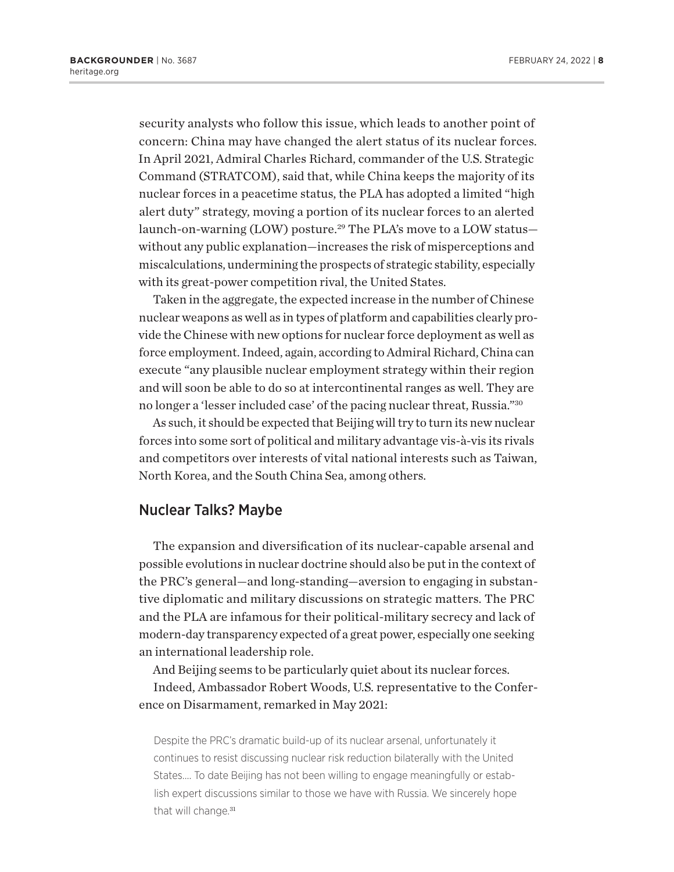<span id="page-7-0"></span>security analysts who follow this issue, which leads to another point of concern: China may have changed the alert status of its nuclear forces. In April 2021, Admiral Charles Richard, commander of the U.S. Strategic Command (STRATCOM), said that, while China keeps the majority of its nuclear forces in a peacetime status, the PLA has adopted a limited "high alert duty" strategy, moving a portion of its nuclear forces to an alerted launch-on-warning (LOW) posture.<sup>29</sup> The PLA's move to a LOW statuswithout any public explanation—increases the risk of misperceptions and miscalculations, undermining the prospects of strategic stability, especially with its great-power competition rival, the United States.

Taken in the aggregate, the expected increase in the number of Chinese nuclear weapons as well as in types of platform and capabilities clearly provide the Chinese with new options for nuclear force deployment as well as force employment. Indeed, again, according to Admiral Richard, China can execute "any plausible nuclear employment strategy within their region and will soon be able to do so at intercontinental ranges as well. They are no longer a 'lesser included case' of the pacing nuclear threat, Russia."[30](#page-14-0)

As such, it should be expected that Beijing will try to turn its new nuclear forces into some sort of political and military advantage vis-à-vis its rivals and competitors over interests of vital national interests such as Taiwan, North Korea, and the South China Sea, among others.

#### Nuclear Talks? Maybe

The expansion and diversification of its nuclear-capable arsenal and possible evolutions in nuclear doctrine should also be put in the context of the PRC's general—and long-standing—aversion to engaging in substantive diplomatic and military discussions on strategic matters. The PRC and the PLA are infamous for their political-military secrecy and lack of modern-day transparency expected of a great power, especially one seeking an international leadership role.

And Beijing seems to be particularly quiet about its nuclear forces.

Indeed, Ambassador Robert Woods, U.S. representative to the Conference on Disarmament, remarked in May 2021:

Despite the PRC's dramatic build-up of its nuclear arsenal, unfortunately it continues to resist discussing nuclear risk reduction bilaterally with the United States…. To date Beijing has not been willing to engage meaningfully or establish expert discussions similar to those we have with Russia. We sincerely hope that will change.<sup>[31](#page-14-0)</sup>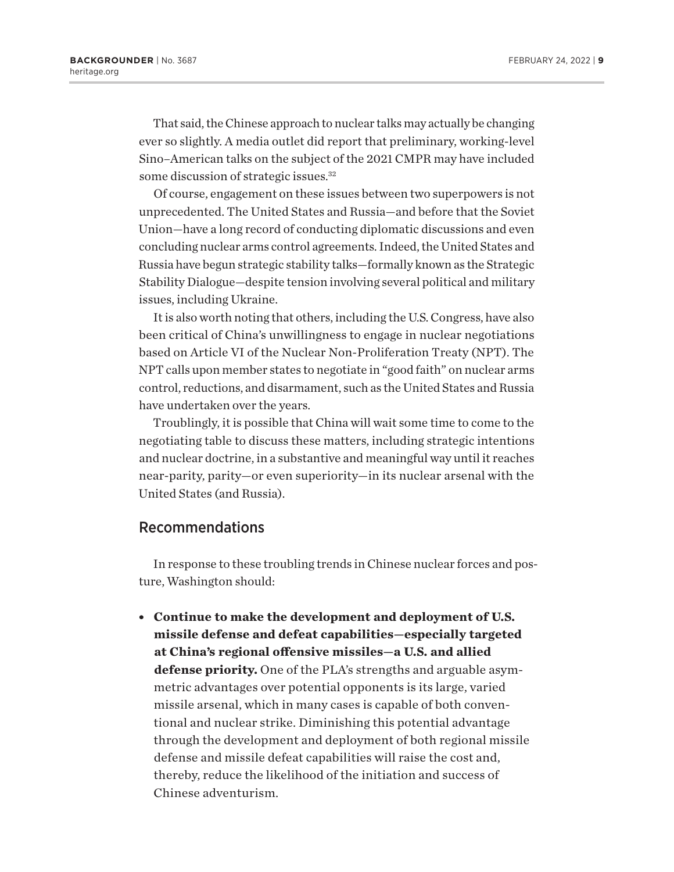<span id="page-8-0"></span>That said, the Chinese approach to nuclear talks may actually be changing ever so slightly. A media outlet did report that preliminary, working-level Sino–American talks on the subject of the 2021 CMPR may have included some discussion of strategic issues[.32](#page-14-0)

Of course, engagement on these issues between two superpowers is not unprecedented. The United States and Russia—and before that the Soviet Union—have a long record of conducting diplomatic discussions and even concluding nuclear arms control agreements. Indeed, the United States and Russia have begun strategic stability talks—formally known as the Strategic Stability Dialogue—despite tension involving several political and military issues, including Ukraine.

It is also worth noting that others, including the U.S. Congress, have also been critical of China's unwillingness to engage in nuclear negotiations based on Article VI of the Nuclear Non-Proliferation Treaty (NPT). The NPT calls upon member states to negotiate in "good faith" on nuclear arms control, reductions, and disarmament, such as the United States and Russia have undertaken over the years.

Troublingly, it is possible that China will wait some time to come to the negotiating table to discuss these matters, including strategic intentions and nuclear doctrine, in a substantive and meaningful way until it reaches near-parity, parity—or even superiority—in its nuclear arsenal with the United States (and Russia).

### Recommendations

In response to these troubling trends in Chinese nuclear forces and posture, Washington should:

<sup>l</sup> **Continue to make the development and deployment of U.S. missile defense and defeat capabilities—especially targeted at China's regional offensive missiles—a U.S. and allied defense priority.** One of the PLA's strengths and arguable asymmetric advantages over potential opponents is its large, varied missile arsenal, which in many cases is capable of both conventional and nuclear strike. Diminishing this potential advantage through the development and deployment of both regional missile defense and missile defeat capabilities will raise the cost and, thereby, reduce the likelihood of the initiation and success of Chinese adventurism.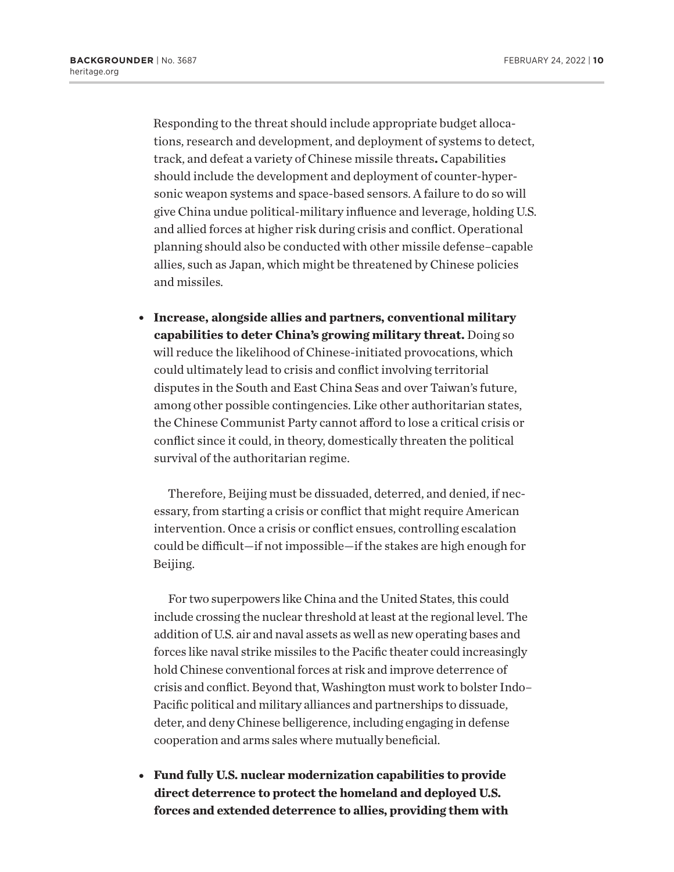Responding to the threat should include appropriate budget allocations, research and development, and deployment of systems to detect, track, and defeat a variety of Chinese missile threats**.** Capabilities should include the development and deployment of counter-hypersonic weapon systems and space-based sensors. A failure to do so will give China undue political-military influence and leverage, holding U.S. and allied forces at higher risk during crisis and conflict. Operational planning should also be conducted with other missile defense–capable allies, such as Japan, which might be threatened by Chinese policies and missiles.

**• Increase, alongside allies and partners, conventional military capabilities to deter China's growing military threat.** Doing so will reduce the likelihood of Chinese-initiated provocations, which could ultimately lead to crisis and conflict involving territorial disputes in the South and East China Seas and over Taiwan's future, among other possible contingencies. Like other authoritarian states, the Chinese Communist Party cannot afford to lose a critical crisis or conflict since it could, in theory, domestically threaten the political survival of the authoritarian regime.

Therefore, Beijing must be dissuaded, deterred, and denied, if necessary, from starting a crisis or conflict that might require American intervention. Once a crisis or conflict ensues, controlling escalation could be difficult—if not impossible—if the stakes are high enough for Beijing.

For two superpowers like China and the United States, this could include crossing the nuclear threshold at least at the regional level. The addition of U.S. air and naval assets as well as new operating bases and forces like naval strike missiles to the Pacific theater could increasingly hold Chinese conventional forces at risk and improve deterrence of crisis and conflict. Beyond that, Washington must work to bolster Indo– Pacific political and military alliances and partnerships to dissuade, deter, and deny Chinese belligerence, including engaging in defense cooperation and arms sales where mutually beneficial.

<sup>l</sup> **Fund fully U.S. nuclear modernization capabilities to provide direct deterrence to protect the homeland and deployed U.S. forces and extended deterrence to allies, providing them with**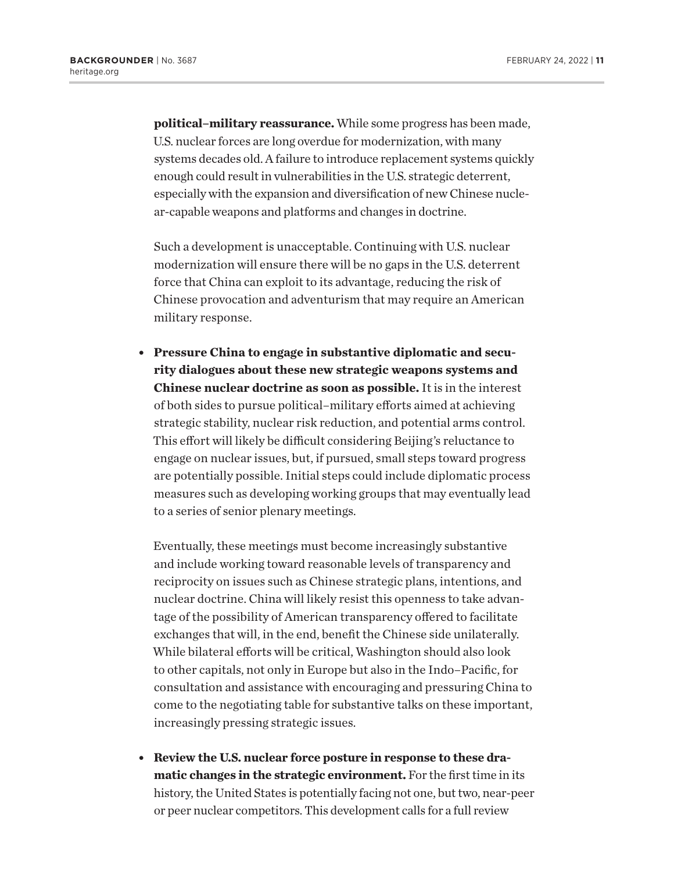**political–military reassurance.** While some progress has been made, U.S. nuclear forces are long overdue for modernization, with many systems decades old. A failure to introduce replacement systems quickly enough could result in vulnerabilities in the U.S. strategic deterrent, especially with the expansion and diversification of new Chinese nuclear-capable weapons and platforms and changes in doctrine.

Such a development is unacceptable. Continuing with U.S. nuclear modernization will ensure there will be no gaps in the U.S. deterrent force that China can exploit to its advantage, reducing the risk of Chinese provocation and adventurism that may require an American military response.

**Pressure China to engage in substantive diplomatic and security dialogues about these new strategic weapons systems and Chinese nuclear doctrine as soon as possible.** It is in the interest of both sides to pursue political–military efforts aimed at achieving strategic stability, nuclear risk reduction, and potential arms control. This effort will likely be difficult considering Beijing's reluctance to engage on nuclear issues, but, if pursued, small steps toward progress are potentially possible. Initial steps could include diplomatic process measures such as developing working groups that may eventually lead to a series of senior plenary meetings.

Eventually, these meetings must become increasingly substantive and include working toward reasonable levels of transparency and reciprocity on issues such as Chinese strategic plans, intentions, and nuclear doctrine. China will likely resist this openness to take advantage of the possibility of American transparency offered to facilitate exchanges that will, in the end, benefit the Chinese side unilaterally. While bilateral efforts will be critical, Washington should also look to other capitals, not only in Europe but also in the Indo–Pacific, for consultation and assistance with encouraging and pressuring China to come to the negotiating table for substantive talks on these important, increasingly pressing strategic issues.

**Example 1.8. Following interpretional Property Property Review the U.S. nuclear force posture in response to these dramatic changes in the strategic environment.** For the first time in its history, the United States is potentially facing not one, but two, near-peer or peer nuclear competitors. This development calls for a full review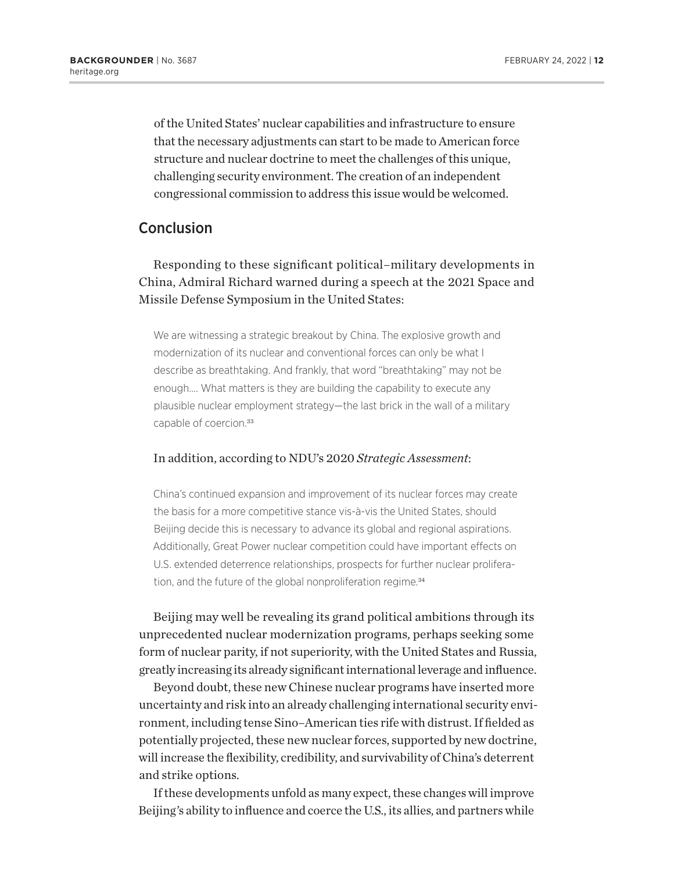<span id="page-11-0"></span>of the United States' nuclear capabilities and infrastructure to ensure that the necessary adjustments can start to be made to American force structure and nuclear doctrine to meet the challenges of this unique, challenging security environment. The creation of an independent congressional commission to address this issue would be welcomed.

## Conclusion

Responding to these significant political–military developments in China, Admiral Richard warned during a speech at the 2021 Space and Missile Defense Symposium in the United States:

We are witnessing a strategic breakout by China. The explosive growth and modernization of its nuclear and conventional forces can only be what I describe as breathtaking. And frankly, that word "breathtaking" may not be enough…. What matters is they are building the capability to execute any plausible nuclear employment strategy—the last brick in the wall of a military capable of coercion.<sup>[33](#page-14-0)</sup>

#### In addition, according to NDU's 2020 *Strategic Assessment*:

China's continued expansion and improvement of its nuclear forces may create the basis for a more competitive stance vis-à-vis the United States, should Beijing decide this is necessary to advance its global and regional aspirations. Additionally, Great Power nuclear competition could have important effects on U.S. extended deterrence relationships, prospects for further nuclear prolifera-tion, and the future of the global nonproliferation regime.<sup>[34](#page-14-0)</sup>

Beijing may well be revealing its grand political ambitions through its unprecedented nuclear modernization programs, perhaps seeking some form of nuclear parity, if not superiority, with the United States and Russia, greatly increasing its already significant international leverage and influence.

Beyond doubt, these new Chinese nuclear programs have inserted more uncertainty and risk into an already challenging international security environment, including tense Sino–American ties rife with distrust. If fielded as potentially projected, these new nuclear forces, supported by new doctrine, will increase the flexibility, credibility, and survivability of China's deterrent and strike options.

If these developments unfold as many expect, these changes will improve Beijing's ability to influence and coerce the U.S., its allies, and partners while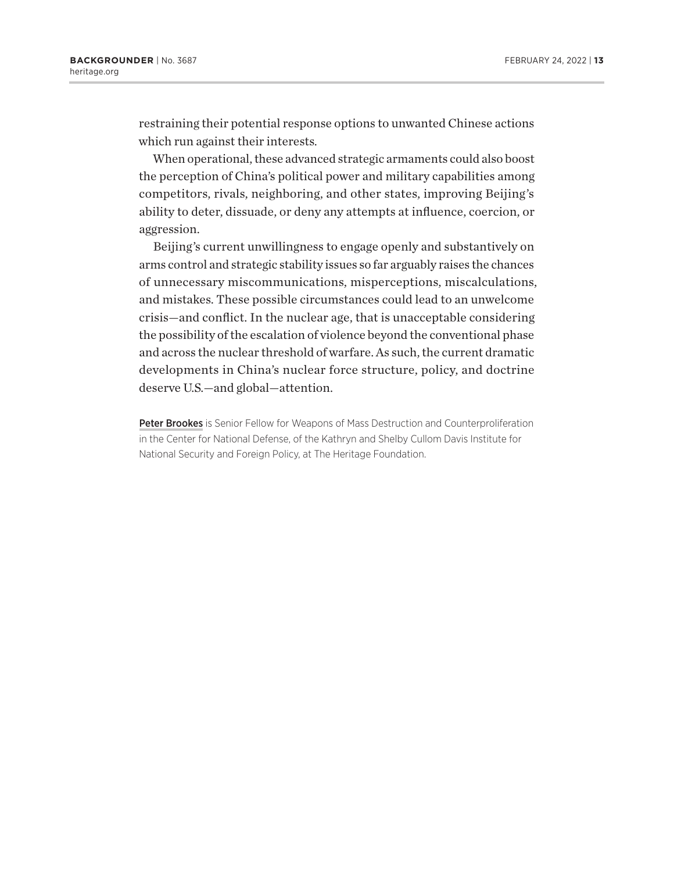restraining their potential response options to unwanted Chinese actions which run against their interests.

When operational, these advanced strategic armaments could also boost the perception of China's political power and military capabilities among competitors, rivals, neighboring, and other states, improving Beijing's ability to deter, dissuade, or deny any attempts at influence, coercion, or aggression.

Beijing's current unwillingness to engage openly and substantively on arms control and strategic stability issues so far arguably raises the chances of unnecessary miscommunications, misperceptions, miscalculations, and mistakes. These possible circumstances could lead to an unwelcome crisis—and conflict. In the nuclear age, that is unacceptable considering the possibility of the escalation of violence beyond the conventional phase and across the nuclear threshold of warfare. As such, the current dramatic developments in China's nuclear force structure, policy, and doctrine deserve U.S.—and global—attention.

Peter Brookes is Senior Fellow for Weapons of Mass Destruction and Counterproliferation in the Center for National Defense, of the Kathryn and Shelby Cullom Davis Institute for National Security and Foreign Policy, at The Heritage Foundation.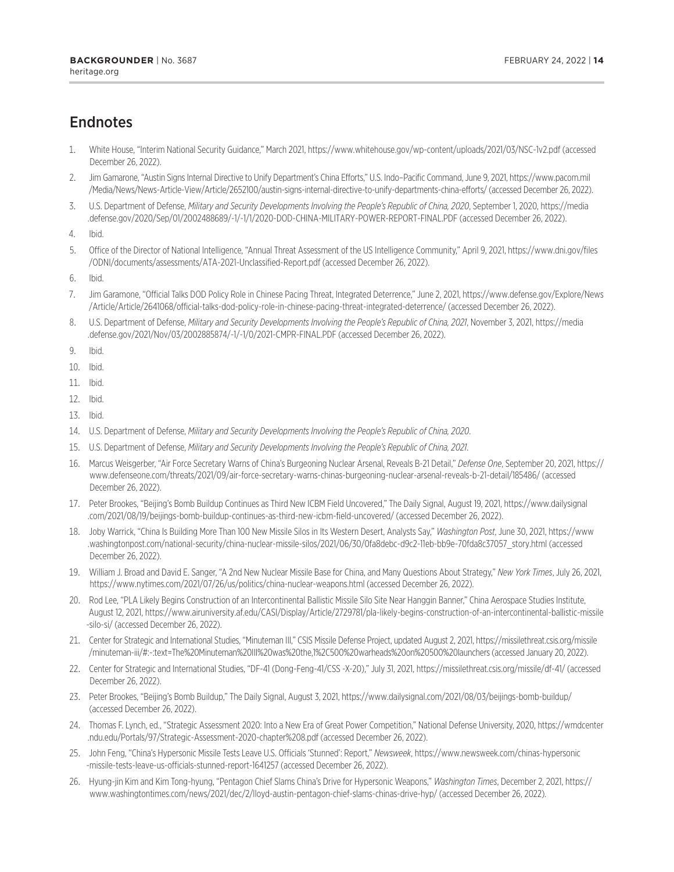# <span id="page-13-0"></span>**Endnotes**

- [1.](#page-0-0) White House, "Interim National Security Guidance," March 2021, <https://www.whitehouse.gov/wp-content/uploads/2021/03/NSC-1v2.pdf> (accessed December 26, 2022).
- [2.](#page-1-0) Jim Gamarone, "Austin Signs Internal Directive to Unify Department's China Efforts," U.S. Indo–Pacific Command, June 9, 2021, [https://www.pacom.mil](https://www.pacom.mil/Media/News/News-Article-View/Article/2652100/austin-signs-internal-directive-to-unify-departments-china-efforts/) [/Media/News/News-Article-View/Article/2652100/austin-signs-internal-directive-to-unify-departments-china-efforts/](https://www.pacom.mil/Media/News/News-Article-View/Article/2652100/austin-signs-internal-directive-to-unify-departments-china-efforts/) (accessed December 26, 2022).
- [3.](#page-2-0) U.S. Department of Defense, *Military and Security Developments Involving the People's Republic of China, 2020*, September 1, 2020, [https://media](https://media.defense.gov/2020/Sep/01/2002488689/-1/-1/1/2020-DOD-CHINA-MILITARY-POWER-REPORT-FINAL.PDF) [.defense.gov/2020/Sep/01/2002488689/-1/-1/1/2020-DOD-CHINA-MILITARY-POWER-REPORT-FINAL.PDF](https://media.defense.gov/2020/Sep/01/2002488689/-1/-1/1/2020-DOD-CHINA-MILITARY-POWER-REPORT-FINAL.PDF) (accessed December 26, 2022).
- [4.](#page-2-0) Ibid.
- [5](#page-2-0). Office of the Director of National Intelligence, "Annual Threat Assessment of the US Intelligence Community," April 9, 2021, [https://www.dni.gov/files](https://www.dni.gov/files/ODNI/documents/assessments/ATA-2021-Unclassified-Report.pdf) [/ODNI/documents/assessments/ATA-2021-Unclassified-Report.pdf](https://www.dni.gov/files/ODNI/documents/assessments/ATA-2021-Unclassified-Report.pdf) (accessed December 26, 2022).
- [6](#page-2-0). Ibid.
- [7.](#page-2-0) Jim Garamone, "Official Talks DOD Policy Role in Chinese Pacing Threat, Integrated Deterrence," June 2, 2021, [https://www.defense.gov/Explore/News](https://www.defense.gov/Explore/News/Article/Article/2641068/official-talks-dod-policy-role-in-chinese-pacing-threat-integrated-deterrence/) [/Article/Article/2641068/official-talks-dod-policy-role-in-chinese-pacing-threat-integrated-deterrence/](https://www.defense.gov/Explore/News/Article/Article/2641068/official-talks-dod-policy-role-in-chinese-pacing-threat-integrated-deterrence/) (accessed December 26, 2022).
- [8](#page-2-0). U.S. Department of Defense, *Military and Security Developments Involving the People's Republic of China, 2021*, November 3, 2021, [https://media](https://media.defense.gov/2021/Nov/03/2002885874/-1/-1/0/2021-CMPR-FINAL.PDF) [.defense.gov/2021/Nov/03/2002885874/-1/-1/0/2021-CMPR-FINAL.PDF](https://media.defense.gov/2021/Nov/03/2002885874/-1/-1/0/2021-CMPR-FINAL.PDF) (accessed December 26, 2022).
- [9](#page-3-0). Ibid.
- [10.](#page-3-0) Ibid.
- [11.](#page-3-0) Ibid.
- [12.](#page-3-0) Ibid.
- [13.](#page-3-0) Ibid.
- [14.](#page-3-0) U.S. Department of Defense, *Military and Security Developments Involving the People's Republic of China, 2020*.
- [15.](#page-3-0) U.S. Department of Defense, *Military and Security Developments Involving the People's Republic of China, 2021*.
- [16.](#page-4-0) Marcus Weisgerber, "Air Force Secretary Warns of China's Burgeoning Nuclear Arsenal, Reveals B-21 Detail," *Defense One*, September 20, 2021, [https://](https://www.defenseone.com/threats/2021/09/air-force-secretary-warns-chinas-burgeoning-nuclear-arsenal-reveals-b-21-detail/185486/) [www.defenseone.com/threats/2021/09/air-force-secretary-warns-chinas-burgeoning-nuclear-arsenal-reveals-b-21-detail/185486/](https://www.defenseone.com/threats/2021/09/air-force-secretary-warns-chinas-burgeoning-nuclear-arsenal-reveals-b-21-detail/185486/) (accessed December 26, 2022).
- [17.](#page-4-0) Peter Brookes, "Beijing's Bomb Buildup Continues as Third New ICBM Field Uncovered," The Daily Signal, August 19, 2021, [https://www.dailysignal](https://www.dailysignal.com/2021/08/19/beijings-bomb-buildup-continues-as-third-new-icbm-field-uncovered/) [.com/2021/08/19/beijings-bomb-buildup-continues-as-third-new-icbm-field-uncovered/](https://www.dailysignal.com/2021/08/19/beijings-bomb-buildup-continues-as-third-new-icbm-field-uncovered/) (accessed December 26, 2022).
- [18.](#page-4-0) Joby Warrick, "China Is Building More Than 100 New Missile Silos in Its Western Desert, Analysts Say," *Washington Post*, June 30, 2021, [https://www](https://www.washingtonpost.com/national-security/china-nuclear-missile-silos/2021/06/30/0fa8debc-d9c2-11eb-bb9e-70fda8c37057_story.html) [.washingtonpost.com/national-security/china-nuclear-missile-silos/2021/06/30/0fa8debc-d9c2-11eb-bb9e-70fda8c37057\\_story.html](https://www.washingtonpost.com/national-security/china-nuclear-missile-silos/2021/06/30/0fa8debc-d9c2-11eb-bb9e-70fda8c37057_story.html) (accessed December 26, 2022).
- [19.](#page-4-0) William J. Broad and David E. Sanger, "A 2nd New Nuclear Missile Base for China, and Many Questions About Strategy," *New York Times*, July 26, 2021, <https://www.nytimes.com/2021/07/26/us/politics/china-nuclear-weapons.html> (accessed December 26, 2022).
- [20](#page-4-0). Rod Lee, "PLA Likely Begins Construction of an Intercontinental Ballistic Missile Silo Site Near Hanggin Banner," China Aerospace Studies Institute, August 12, 2021, [https://www.airuniversity.af.edu/CASI/Display/Article/2729781/pla-likely-begins-construction-of-an-intercontinental-ballistic-missile](https://www.airuniversity.af.edu/CASI/Display/Article/2729781/pla-likely-begins-construction-of-an-intercontinental-ballistic-missile-silo-si/) [-silo-si/](https://www.airuniversity.af.edu/CASI/Display/Article/2729781/pla-likely-begins-construction-of-an-intercontinental-ballistic-missile-silo-si/) (accessed December 26, 2022).
- [21.](#page-4-0) Center for Strategic and International Studies, "Minuteman III," CSIS Missile Defense Project, updated August 2, 2021, [https://missilethreat.csis.org/missile](https://missilethreat.csis.org/missile/minuteman-iii/#:~:text=The%20Minuteman%20III%20was%20the,1%2C500%20warheads%20on%20500%20launchers) [/minuteman-iii/#:~:text=The%20Minuteman%20III%20was%20the,1%2C500%20warheads%20on%20500%20launchers](https://missilethreat.csis.org/missile/minuteman-iii/#:~:text=The%20Minuteman%20III%20was%20the,1%2C500%20warheads%20on%20500%20launchers) (accessed January 20, 2022).
- [22](#page-4-0). Center for Strategic and International Studies, "DF-41 (Dong-Feng-41/CSS -X-20)," July 31, 2021,<https://missilethreat.csis.org/missile/df-41/>(accessed December 26, 2022).
- [23](#page-4-0). Peter Brookes, "Beijing's Bomb Buildup," The Daily Signal, August 3, 2021, <https://www.dailysignal.com/2021/08/03/beijings-bomb-buildup/> (accessed December 26, 2022).
- [24](#page-5-0). Thomas F. Lynch, ed., "Strategic Assessment 2020: Into a New Era of Great Power Competition," National Defense University, 2020, [https://wmdcenter](https://wmdcenter.ndu.edu/Portals/97/Strategic-Assessment-2020-chapter%208.pdf) [.ndu.edu/Portals/97/Strategic-Assessment-2020-chapter%208.pdf](https://wmdcenter.ndu.edu/Portals/97/Strategic-Assessment-2020-chapter%208.pdf) (accessed December 26, 2022).
- [25](#page-5-0). John Feng, "China's Hypersonic Missile Tests Leave U.S. Officials 'Stunned': Report," *Newsweek*, [https://www.newsweek.com/chinas-hypersonic](https://www.newsweek.com/chinas-hypersonic-missile-tests-leave-us-officials-stunned-report-1641257) [-missile-tests-leave-us-officials-stunned-report-1641257](https://www.newsweek.com/chinas-hypersonic-missile-tests-leave-us-officials-stunned-report-1641257) (accessed December 26, 2022).
- [26](#page-6-0). Hyung-jin Kim and Kim Tong-hyung, "Pentagon Chief Slams China's Drive for Hypersonic Weapons," *Washington Times*, December 2, 2021, [https://](https://www.washingtontimes.com/news/2021/dec/2/lloyd-austin-pentagon-chief-slams-chinas-drive-hyp/) [www.washingtontimes.com/news/2021/dec/2/lloyd-austin-pentagon-chief-slams-chinas-drive-hyp/](https://www.washingtontimes.com/news/2021/dec/2/lloyd-austin-pentagon-chief-slams-chinas-drive-hyp/) (accessed December 26, 2022).